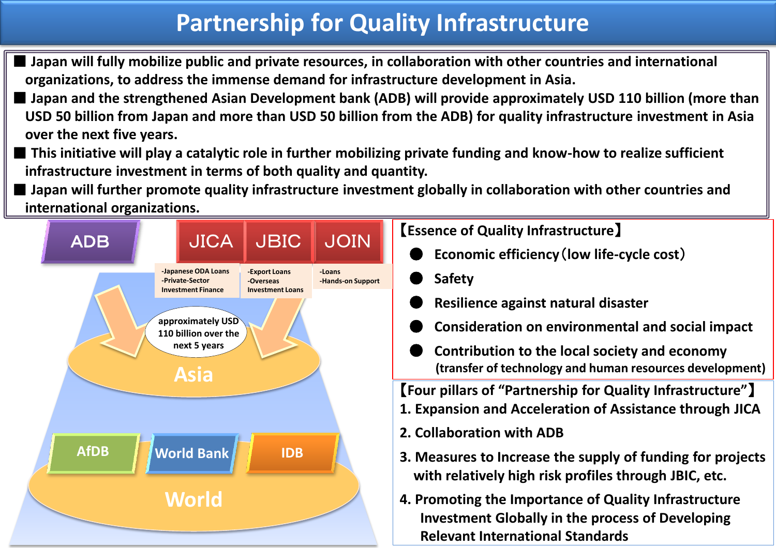# **Partnership for Quality Infrastructure**

- Japan will fully mobilize public and private resources, in collaboration with other countries and international **organizations, to address the immense demand for infrastructure development in Asia.**
- Japan and the strengthened Asian Development bank (ADB) will provide approximately USD 110 billion (more than **USD 50 billion from Japan and more than USD 50 billion from the ADB) for quality infrastructure investment in Asia over the next five years.**
- This initiative will play a catalytic role in further mobilizing private funding and know-how to realize sufficient **infrastructure investment in terms of both quality and quantity.**
- Japan will further promote quality infrastructure investment globally in collaboration with other countries and **international organizations.**

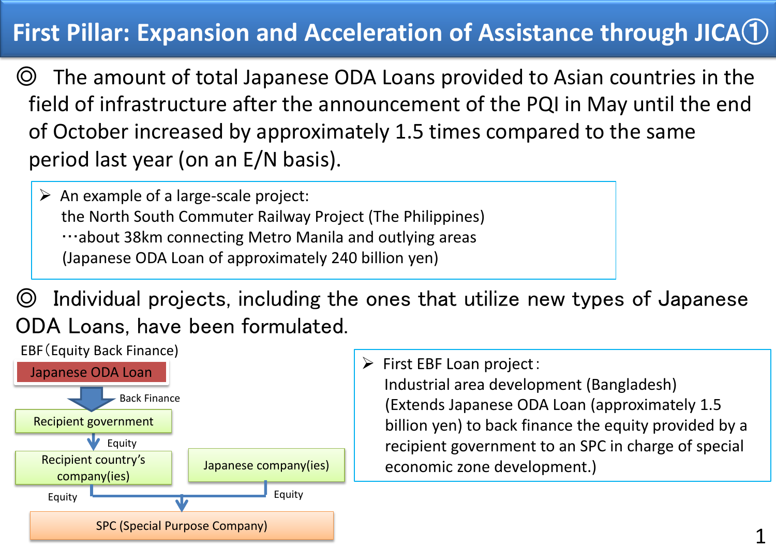# **First Pillar: Expansion and Acceleration of Assistance through JICA**①

◎ The amount of total Japanese ODA Loans provided to Asian countries in the field of infrastructure after the announcement of the PQI in May until the end of October increased by approximately 1.5 times compared to the same period last year (on an E/N basis).

 $\triangleright$  An example of a large-scale project: the North South Commuter Railway Project (The Philippines) …about 38km connecting Metro Manila and outlying areas (Japanese ODA Loan of approximately 240 billion yen)

◎ Individual projects, including the ones that utilize new types of Japanese ODA Loans, have been formulated.



 $\triangleright$  First EBF Loan project: Industrial area development (Bangladesh) (Extends Japanese ODA Loan (approximately 1.5 billion yen) to back finance the equity provided by a recipient government to an SPC in charge of special economic zone development.)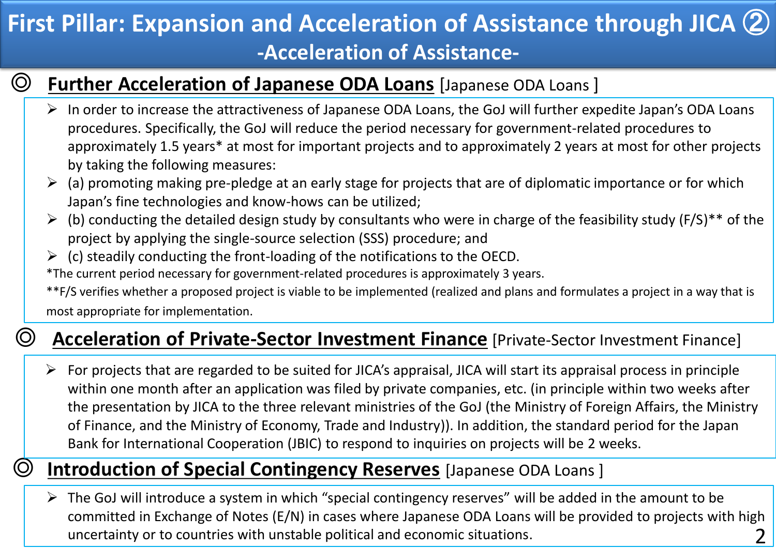# **First Pillar: Expansion and Acceleration of Assistance through JICA** ② **-Acceleration of Assistance-**

# ◎ **Further Acceleration of Japanese ODA Loans** [Japanese ODA Loans ]

- $\triangleright$  In order to increase the attractiveness of Japanese ODA Loans, the GoJ will further expedite Japan's ODA Loans procedures. Specifically, the GoJ will reduce the period necessary for government-related procedures to approximately 1.5 years\* at most for important projects and to approximately 2 years at most for other projects by taking the following measures:
- $\geq$  (a) promoting making pre-pledge at an early stage for projects that are of diplomatic importance or for which Japan's fine technologies and know-hows can be utilized;
- $\triangleright$  (b) conducting the detailed design study by consultants who were in charge of the feasibility study (F/S)<sup>\*\*</sup> of the project by applying the single-source selection (SSS) procedure; and
- $\triangleright$  (c) steadily conducting the front-loading of the notifications to the OECD. \*The current period necessary for government-related procedures is approximately 3 years.

\*\*F/S verifies whether a proposed project is viable to be implemented (realized and plans and formulates a project in a way that is most appropriate for implementation.

### ◎ **Acceleration of Private-Sector Investment Finance** [Private-Sector Investment Finance]

 $\triangleright$  For projects that are regarded to be suited for JICA's appraisal, JICA will start its appraisal process in principle within one month after an application was filed by private companies, etc. (in principle within two weeks after the presentation by JICA to the three relevant ministries of the GoJ (the Ministry of Foreign Affairs, the Ministry of Finance, and the Ministry of Economy, Trade and Industry)). In addition, the standard period for the Japan Bank for International Cooperation (JBIC) to respond to inquiries on projects will be 2 weeks.

### ◎ **Introduction of Special Contingency Reserves** [Japanese ODA Loans ]

 $\triangleright$  The GoJ will introduce a system in which "special contingency reserves" will be added in the amount to be committed in Exchange of Notes (E/N) in cases where Japanese ODA Loans will be provided to projects with high uncertainty or to countries with unstable political and economic situations. 2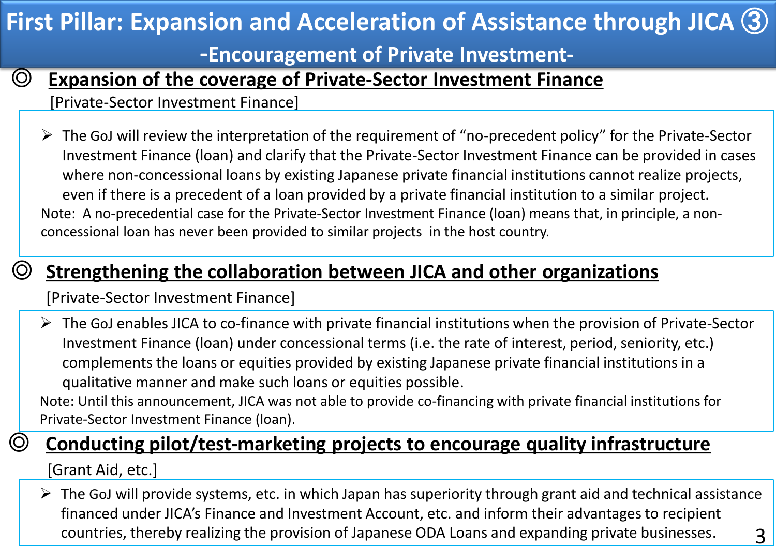# ◎ **Expansion of the coverage of Private-Sector Investment Finance** [Private-Sector Investment Finance]  $\triangleright$  The GoJ will review the interpretation of the requirement of "no-precedent policy" for the Private-Sector Investment Finance (loan) and clarify that the Private-Sector Investment Finance can be provided in cases where non-concessional loans by existing Japanese private financial institutions cannot realize projects, even if there is a precedent of a loan provided by a private financial institution to a similar project. Note: A no-precedential case for the Private-Sector Investment Finance (loan) means that, in principle, a non-**First Pillar: Expansion and Acceleration of Assistance through JICA** ③ **-Encouragement of Private Investment-**

concessional loan has never been provided to similar projects in the host country.

# ◎ **Strengthening the collaboration between JICA and other organizations**

[Private-Sector Investment Finance]

 $\triangleright$  The GoJ enables JICA to co-finance with private financial institutions when the provision of Private-Sector Investment Finance (loan) under concessional terms (i.e. the rate of interest, period, seniority, etc.) complements the loans or equities provided by existing Japanese private financial institutions in a qualitative manner and make such loans or equities possible.

Note: Until this announcement, JICA was not able to provide co-financing with private financial institutions for Private-Sector Investment Finance (loan).

# ◎ **Conducting pilot/test-marketing projects to encourage quality infrastructure**

[Grant Aid, etc.]

 $\triangleright$  The GoJ will provide systems, etc. in which Japan has superiority through grant aid and technical assistance financed under JICA's Finance and Investment Account, etc. and inform their advantages to recipient countries, thereby realizing the provision of Japanese ODA Loans and expanding private businesses. 3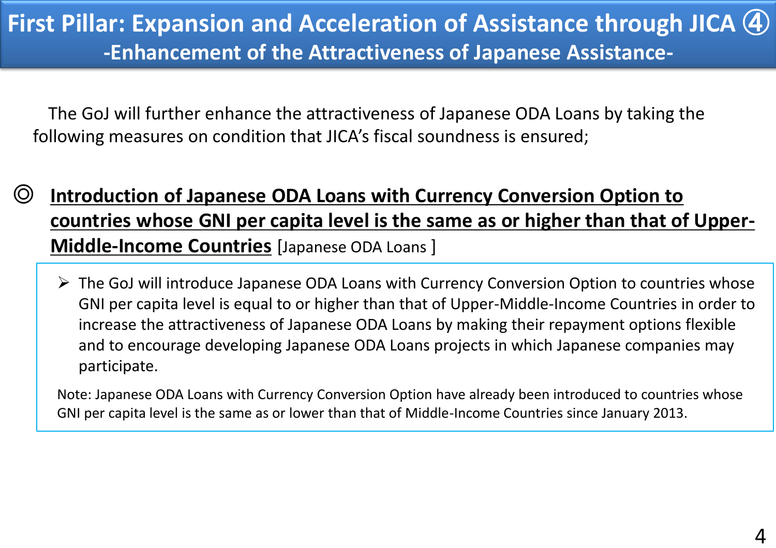The GoJ will further enhance the attractiveness of Japanese ODA Loans by taking the following measures on condition that JICA's fiscal soundness is ensured;

- ◎ **Introduction of Japanese ODA Loans with Currency Conversion Option to countries whose GNI per capita level is the same as or higher than that of Upper- Middle-Income Countries** [Japanese ODA Loans ]
	- $\triangleright$  The GoJ will introduce Japanese ODA Loans with Currency Conversion Option to countries whose GNI per capita level is equal to or higher than that of Upper-Middle-Income Countries in order to increase the attractiveness of Japanese ODA Loans by making their repayment options flexible and to encourage developing Japanese ODA Loans projects in which Japanese companies may participate.

Note: Japanese ODA Loans with Currency Conversion Option have already been introduced to countries whose GNI per capita level is the same as or lower than that of Middle-Income Countries since January 2013.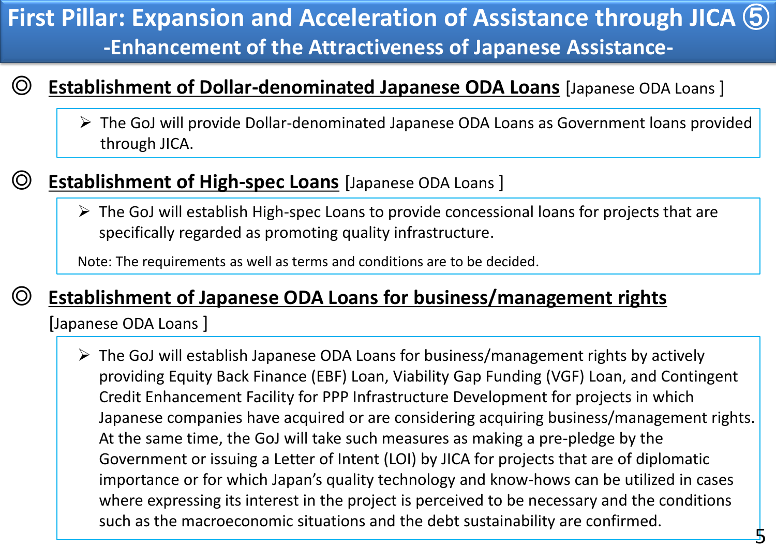#### ally Acceleration of Assist **First Pillar: Expansion and Acceleration of Assistance through JICA** ⑤ **-Enhancement of the Attractiveness of Japanese Assistance-**

### ◎ **Establishment of Dollar-denominated Japanese ODA Loans** [Japanese ODA Loans ]

 The GoJ will provide Dollar-denominated Japanese ODA Loans as Government loans provided through JICA.

# ◎ **Establishment of High-spec Loans** [Japanese ODA Loans ]

 $\triangleright$  The GoJ will establish High-spec Loans to provide concessional loans for projects that are specifically regarded as promoting quality infrastructure.

Note: The requirements as well as terms and conditions are to be decided.

# ◎ **Establishment of Japanese ODA Loans for business/management rights**

[Japanese ODA Loans ]

 $\triangleright$  The GoJ will establish Japanese ODA Loans for business/management rights by actively providing Equity Back Finance (EBF) Loan, Viability Gap Funding (VGF) Loan, and Contingent Credit Enhancement Facility for PPP Infrastructure Development for projects in which Japanese companies have acquired or are considering acquiring business/management rights. At the same time, the GoJ will take such measures as making a pre-pledge by the Government or issuing a Letter of Intent (LOI) by JICA for projects that are of diplomatic importance or for which Japan's quality technology and know-hows can be utilized in cases where expressing its interest in the project is perceived to be necessary and the conditions such as the macroeconomic situations and the debt sustainability are confirmed.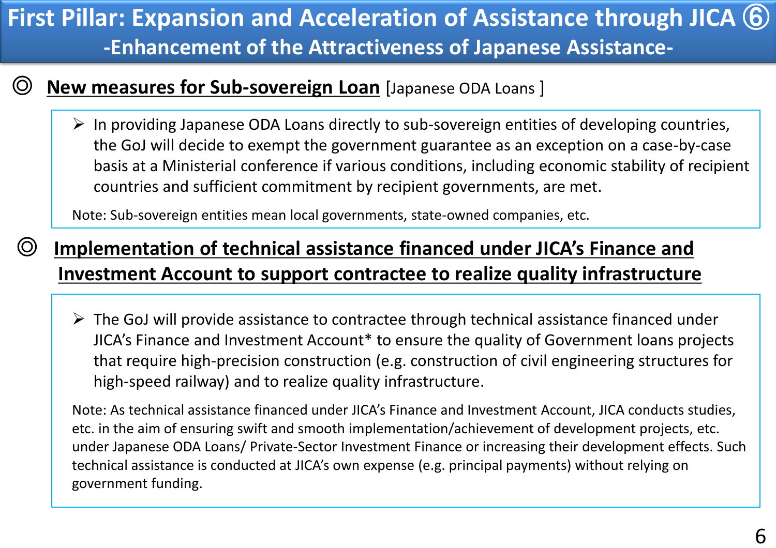#### ally Acceleration of Assist **First Pillar: Expansion and Acceleration of Assistance through JICA** ⑥ **-Enhancement of the Attractiveness of Japanese Assistance-**

### ◎ **New measures for Sub-sovereign Loan** [Japanese ODA Loans ]

 $\triangleright$  In providing Japanese ODA Loans directly to sub-sovereign entities of developing countries, the GoJ will decide to exempt the government guarantee as an exception on a case-by-case basis at a Ministerial conference if various conditions, including economic stability of recipient countries and sufficient commitment by recipient governments, are met.

Note: Sub-sovereign entities mean local governments, state-owned companies, etc.

# ◎ **Implementation of technical assistance financed under JICA's Finance and Investment Account to support contractee to realize quality infrastructure**

 $\triangleright$  The GoJ will provide assistance to contractee through technical assistance financed under JICA's Finance and Investment Account\* to ensure the quality of Government loans projects that require high-precision construction (e.g. construction of civil engineering structures for high-speed railway) and to realize quality infrastructure.

Note: As technical assistance financed under JICA's Finance and Investment Account, JICA conducts studies, etc. in the aim of ensuring swift and smooth implementation/achievement of development projects, etc. under Japanese ODA Loans/ Private-Sector Investment Finance or increasing their development effects. Such technical assistance is conducted at JICA's own expense (e.g. principal payments) without relying on government funding.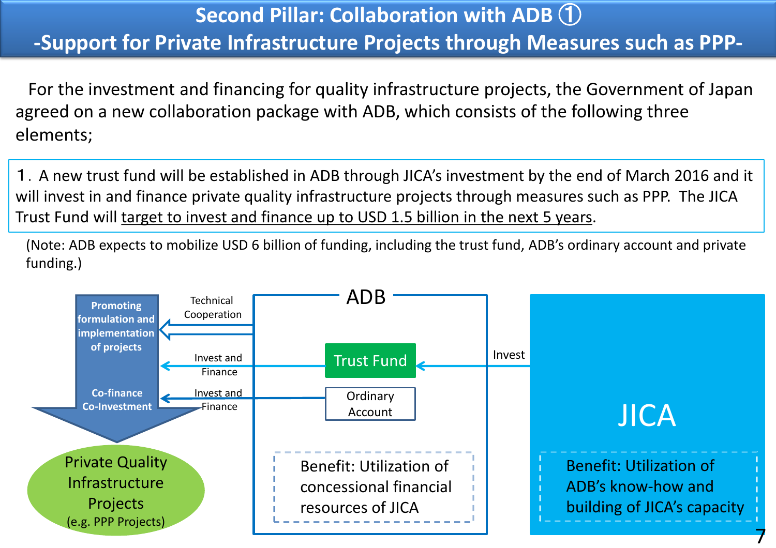# **Second Pillar: Collaboration with ADB** ① **-Support for Private Infrastructure Projects through Measures such as PPP-**

For the investment and financing for quality infrastructure projects, the Government of Japan agreed on a new collaboration package with ADB, which consists of the following three elements;

1.A new trust fund will be established in ADB through JICA's investment by the end of March 2016 and it will invest in and finance private quality infrastructure projects through measures such as PPP. The JICA Trust Fund will target to invest and finance up to USD 1.5 billion in the next 5 years.

(Note: ADB expects to mobilize USD 6 billion of funding, including the trust fund, ADB's ordinary account and private funding.)

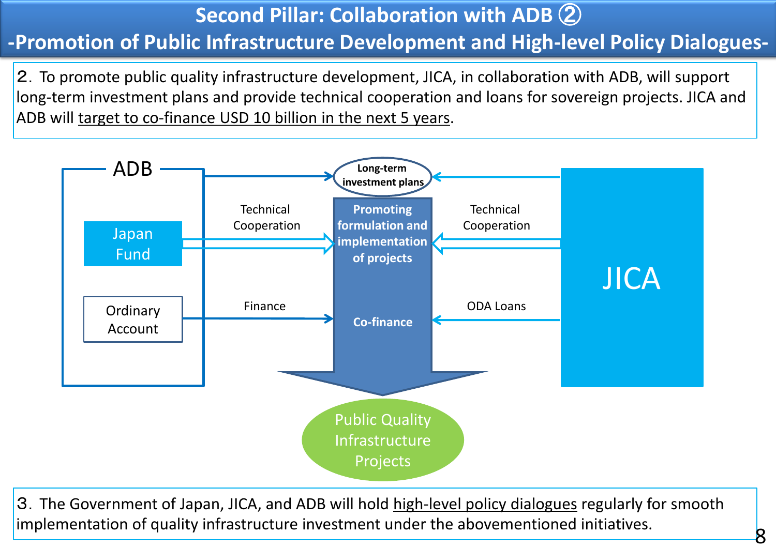# **Second Pillar: Collaboration with ADB** ② **-Promotion of Public Infrastructure Development and High-level Policy Dialogues-**

2.To promote public quality infrastructure development, JICA, in collaboration with ADB, will support long-term investment plans and provide technical cooperation and loans for sovereign projects. JICA and ADB will target to co-finance USD 10 billion in the next 5 years.



3. The Government of Japan, JICA, and ADB will hold high-level policy dialogues regularly for smooth implementation of quality infrastructure investment under the abovementioned initiatives.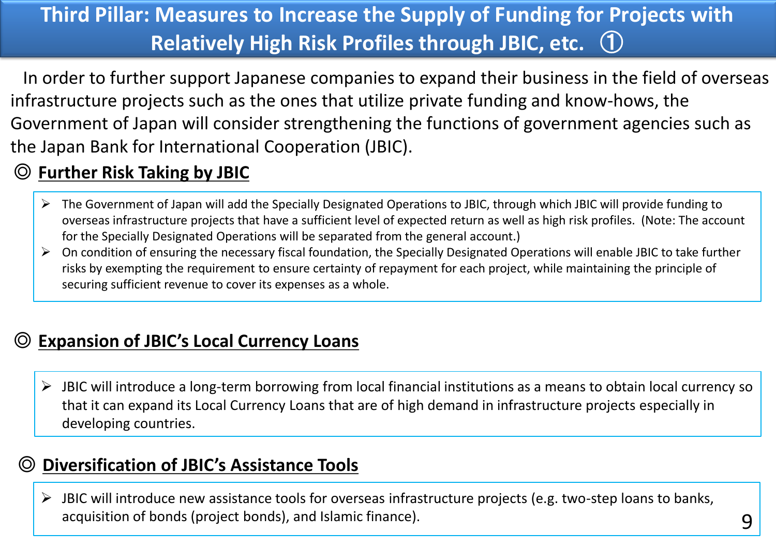# **Third Pillar: Measures to Increase the Supply of Funding for Projects with Relatively High Risk Profiles through JBIC, etc.** ①

In order to further support Japanese companies to expand their business in the field of overseas infrastructure projects such as the ones that utilize private funding and know-hows, the Government of Japan will consider strengthening the functions of government agencies such as the Japan Bank for International Cooperation (JBIC).

### ◎ **Further Risk Taking by JBIC**

- $\triangleright$  The Government of Japan will add the Specially Designated Operations to JBIC, through which JBIC will provide funding to overseas infrastructure projects that have a sufficient level of expected return as well as high risk profiles. (Note: The account for the Specially Designated Operations will be separated from the general account.)
- $\triangleright$  On condition of ensuring the necessary fiscal foundation, the Specially Designated Operations will enable JBIC to take further risks by exempting the requirement to ensure certainty of repayment for each project, while maintaining the principle of securing sufficient revenue to cover its expenses as a whole.

### **Expansion of JBIC's Local Currency Loans**

 $\triangleright$  JBIC will introduce a long-term borrowing from local financial institutions as a means to obtain local currency so that it can expand its Local Currency Loans that are of high demand in infrastructure projects especially in developing countries.

### ◎ **Diversification of JBIC's Assistance Tools**

 $\triangleright$  JBIC will introduce new assistance tools for overseas infrastructure projects (e.g. two-step loans to banks, acquisition of bonds (project bonds), and Islamic finance).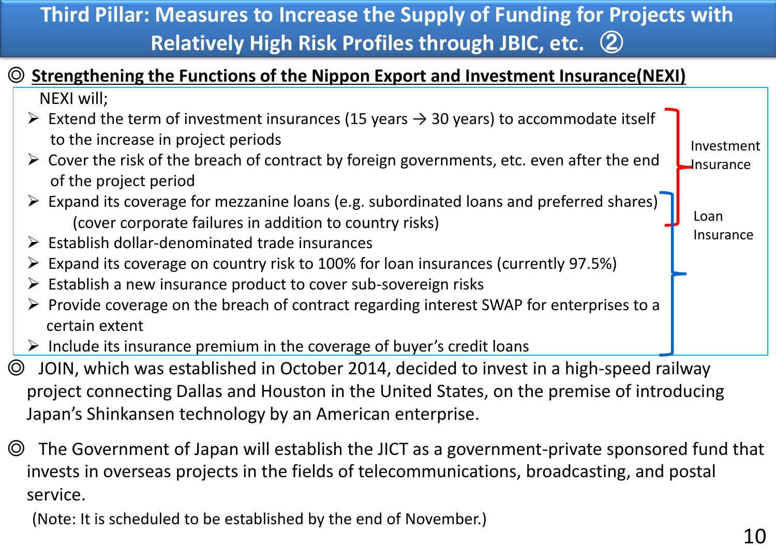# **Third Pillar: Measures to Increase the Supply of Funding for Projects with Relatively High Risk Profiles through JBIC, etc.** ②

### ◎ **Strengthening the Functions of the Nippon Export and Investment Insurance(NEXI)**

NEXI will;

- Extend the term of investment insurances (15 years  $\rightarrow$  30 years) to accommodate itself to the increase in project periods
- $\triangleright$  Cover the risk of the breach of contract by foreign governments, etc. even after the end of the project period Investment **J**nsurance
- $\triangleright$  Expand its coverage for mezzanine loans (e.g. subordinated loans and preferred shares) (cover corporate failures in addition to country risks)
- $\triangleright$  Establish dollar-denominated trade insurances
- $\triangleright$  Expand its coverage on country risk to 100% for loan insurances (currently 97.5%)
- $\triangleright$  Establish a new insurance product to cover sub-sovereign risks
- $\triangleright$  Provide coverage on the breach of contract regarding interest SWAP for enterprises to a certain extent
- $\triangleright$  Include its insurance premium in the coverage of buyer's credit loans
- ◎ JOIN, which was established in October 2014, decided to invest in a high-speed railway project connecting Dallas and Houston in the United States, on the premise of introducing Japan's Shinkansen technology by an American enterprise.
- ◎ The Government of Japan will establish the JICT as a government-private sponsored fund that invests in overseas projects in the fields of telecommunications, broadcasting, and postal service.

(Note: It is scheduled to be established by the end of November.)

Loan

Insurance